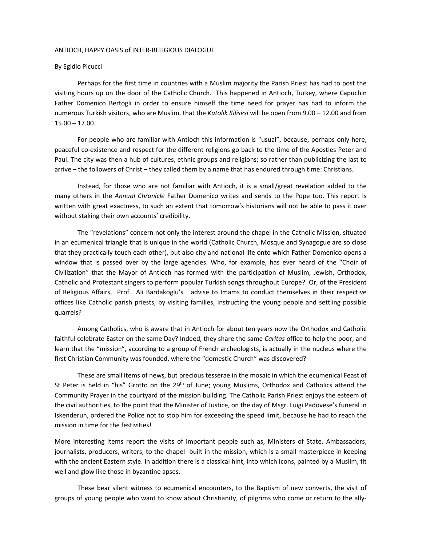## ANTIOCH, HAPPY OASIS of INTER-RELIGIOUS DIALOGUE

## By Egidio Picucci

Perhaps for the first time in countries with a Muslim majority the Parish Priest has had to post the visiting hours up on the door of the Catholic Church. This happened in Antioch, Turkey, where Capuchin Father Domenico Bertogli in order to ensure himself the time need for prayer has had to inform the numerous Turkish visitors, who are Muslim, that the *Katolik Kilisesi* will be open from 9.00 – 12.00 and from  $15.00 - 17.00$ .

For people who are familiar with Antioch this information is "usual", because, perhaps only here, peaceful co-existence and respect for the different religions go back to the time of the Apostles Peter and Paul. The city was then a hub of cultures, ethnic groups and religions; so rather than publicizing the last to arrive – the followers of Christ – they called them by a name that has endured through time: Christians.

Instead, for those who are not familiar with Antioch, it is a small/great revelation added to the many others in the *Annual Chronicle* Father Domenico writes and sends to the Pope too. This report is written with great exactness, to such an extent that tomorrow's historians will not be able to pass it over without staking their own accounts' credibility.

The "revelations" concern not only the interest around the chapel in the Catholic Mission, situated in an ecumenical triangle that is unique in the world (Catholic Church, Mosque and Synagogue are so close that they practically touch each other), but also city and national life onto which Father Domenico opens a window that is passed over by the large agencies. Who, for example, has ever heard of the "Choir of Civilization" that the Mayor of Antioch has formed with the participation of Muslim, Jewish, Orthodox, Catholic and Protestant singers to perform popular Turkish songs throughout Europe? Or, of the President of Religious Affairs, Prof. Ali Bardakoglu's advise to Imams to conduct themselves in their respective offices like Catholic parish priests, by visiting families, instructing the young people and settling possible quarrels?

Among Catholics, who is aware that in Antioch for about ten years now the Orthodox and Catholic faithful celebrate Easter on the same Day? Indeed, they share the same *Caritas* office to help the poor; and learn that the "mission", according to a group of French archeologists, is actually in the nucleus where the first Christian Community was founded, where the "domestic Church" was discovered?

These are small items of news, but precious tesserae in the mosaic in which the ecumenical Feast of St Peter is held in "his" Grotto on the 29<sup>th</sup> of June; young Muslims, Orthodox and Catholics attend the Community Prayer in the courtyard of the mission building. The Catholic Parish Priest enjoys the esteem of the civil authorities, to the point that the Minister of Justice, on the day of Msgr. Luigi Padovese's funeral in Iskenderun, ordered the Police not to stop him for exceeding the speed limit, because he had to reach the mission in time for the festivities!

More interesting items report the visits of important people such as, Ministers of State, Ambassadors, journalists, producers, writers, to the chapel built in the mission, which is a small masterpiece in keeping with the ancient Eastern style. In addition there is a classical hint, into which icons, painted by a Muslim, fit well and glow like those in byzantine apses.

These bear silent witness to ecumenical encounters, to the Baptism of new converts, the visit of groups of young people who want to know about Christianity, of pilgrims who come or return to the ally